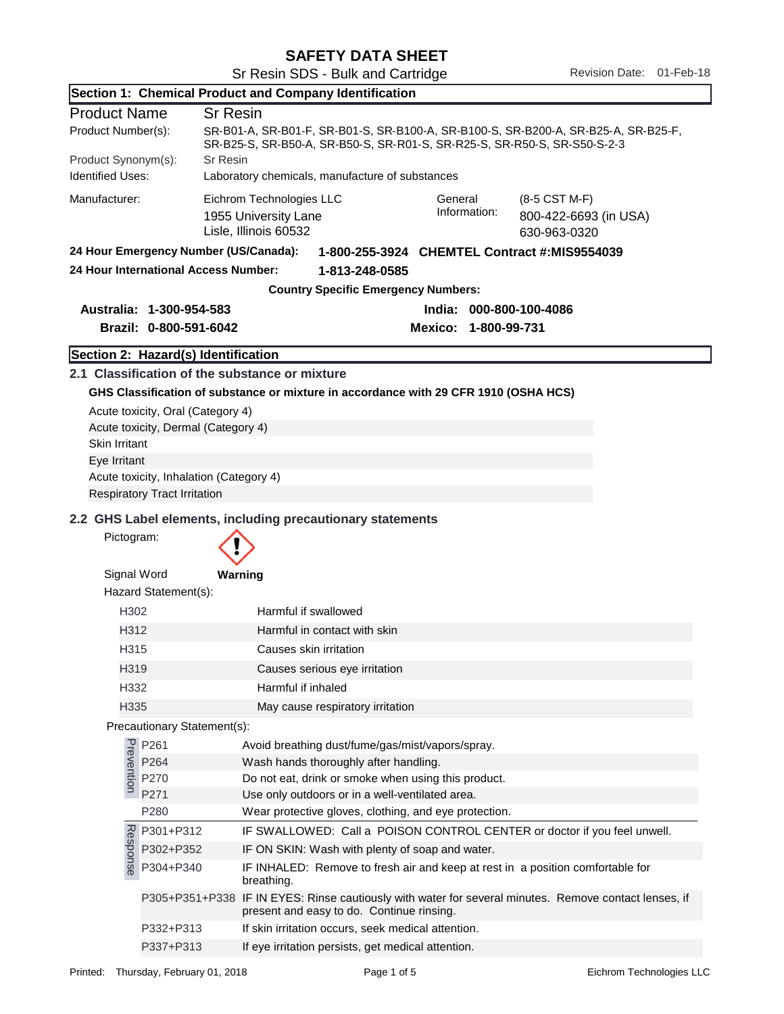| Section 1: Chemical Product and Company Identification                                                                                                                               |                                              |                                                                                                                                                                |  |  |
|--------------------------------------------------------------------------------------------------------------------------------------------------------------------------------------|----------------------------------------------|----------------------------------------------------------------------------------------------------------------------------------------------------------------|--|--|
| <b>Product Name</b>                                                                                                                                                                  |                                              | <b>Sr Resin</b>                                                                                                                                                |  |  |
| Product Number(s):<br>SR-B01-A, SR-B01-F, SR-B01-S, SR-B100-A, SR-B100-S, SR-B200-A, SR-B25-A, SR-B25-F,<br>SR-B25-S, SR-B50-A, SR-B50-S, SR-R01-S, SR-R25-S, SR-R50-S, SR-S50-S-2-3 |                                              |                                                                                                                                                                |  |  |
| Product Synonym(s):                                                                                                                                                                  | <b>Sr Resin</b>                              |                                                                                                                                                                |  |  |
| <b>Identified Uses:</b><br>Laboratory chemicals, manufacture of substances                                                                                                           |                                              |                                                                                                                                                                |  |  |
| Manufacturer:                                                                                                                                                                        |                                              | Eichrom Technologies LLC<br>General<br>(8-5 CST M-F)<br>Information:<br>1955 University Lane<br>800-422-6693 (in USA)<br>Lisle, Illinois 60532<br>630-963-0320 |  |  |
|                                                                                                                                                                                      | 24 Hour Emergency Number (US/Canada):        | 1-800-255-3924 CHEMTEL Contract #:MIS9554039                                                                                                                   |  |  |
|                                                                                                                                                                                      | 24 Hour International Access Number:         | 1-813-248-0585                                                                                                                                                 |  |  |
|                                                                                                                                                                                      |                                              | <b>Country Specific Emergency Numbers:</b>                                                                                                                     |  |  |
|                                                                                                                                                                                      | Australia: 1-300-954-583                     | India: 000-800-100-4086                                                                                                                                        |  |  |
|                                                                                                                                                                                      | Brazil: 0-800-591-6042                       | Mexico: 1-800-99-731                                                                                                                                           |  |  |
|                                                                                                                                                                                      | Section 2: Hazard(s) Identification          |                                                                                                                                                                |  |  |
|                                                                                                                                                                                      |                                              | 2.1 Classification of the substance or mixture                                                                                                                 |  |  |
|                                                                                                                                                                                      |                                              | GHS Classification of substance or mixture in accordance with 29 CFR 1910 (OSHA HCS)                                                                           |  |  |
|                                                                                                                                                                                      | Acute toxicity, Oral (Category 4)            |                                                                                                                                                                |  |  |
|                                                                                                                                                                                      | Acute toxicity, Dermal (Category 4)          |                                                                                                                                                                |  |  |
| <b>Skin Irritant</b>                                                                                                                                                                 |                                              |                                                                                                                                                                |  |  |
| Eye Irritant                                                                                                                                                                         |                                              |                                                                                                                                                                |  |  |
|                                                                                                                                                                                      | Acute toxicity, Inhalation (Category 4)      |                                                                                                                                                                |  |  |
|                                                                                                                                                                                      | <b>Respiratory Tract Irritation</b>          |                                                                                                                                                                |  |  |
|                                                                                                                                                                                      |                                              | 2.2 GHS Label elements, including precautionary statements                                                                                                     |  |  |
| Pictogram:                                                                                                                                                                           |                                              |                                                                                                                                                                |  |  |
| Signal Word                                                                                                                                                                          |                                              | Warning                                                                                                                                                        |  |  |
|                                                                                                                                                                                      | Hazard Statement(s):                         |                                                                                                                                                                |  |  |
| H302                                                                                                                                                                                 |                                              | Harmful if swallowed                                                                                                                                           |  |  |
| H312                                                                                                                                                                                 |                                              | Harmful in contact with skin                                                                                                                                   |  |  |
| H315                                                                                                                                                                                 |                                              | Causes skin irritation                                                                                                                                         |  |  |
| H319                                                                                                                                                                                 |                                              | Causes serious eye irritation                                                                                                                                  |  |  |
| H332                                                                                                                                                                                 |                                              | Harmful if inhaled                                                                                                                                             |  |  |
| H335                                                                                                                                                                                 |                                              | May cause respiratory irritation                                                                                                                               |  |  |
|                                                                                                                                                                                      | Precautionary Statement(s):                  |                                                                                                                                                                |  |  |
|                                                                                                                                                                                      | P261<br>P264<br>P264<br>P270<br>P271<br>P264 | Avoid breathing dust/fume/gas/mist/vapors/spray.<br>Wash hands thoroughly after handling.                                                                      |  |  |
|                                                                                                                                                                                      | P270                                         | Do not eat, drink or smoke when using this product.                                                                                                            |  |  |
|                                                                                                                                                                                      | P271                                         | Use only outdoors or in a well-ventilated area.                                                                                                                |  |  |
|                                                                                                                                                                                      | P280                                         | Wear protective gloves, clothing, and eye protection.                                                                                                          |  |  |
|                                                                                                                                                                                      | P301+P312                                    | IF SWALLOWED: Call a POISON CONTROL CENTER or doctor if you feel unwell.                                                                                       |  |  |
| Response                                                                                                                                                                             | P302+P352                                    | IF ON SKIN: Wash with plenty of soap and water.                                                                                                                |  |  |
|                                                                                                                                                                                      | P304+P340                                    | IF INHALED: Remove to fresh air and keep at rest in a position comfortable for<br>breathing.                                                                   |  |  |
|                                                                                                                                                                                      |                                              | P305+P351+P338 IF IN EYES: Rinse cautiously with water for several minutes. Remove contact lenses, if<br>present and easy to do. Continue rinsing.             |  |  |
|                                                                                                                                                                                      | P332+P313                                    | If skin irritation occurs, seek medical attention.                                                                                                             |  |  |
|                                                                                                                                                                                      | P337+P313                                    | If eye irritation persists, get medical attention.                                                                                                             |  |  |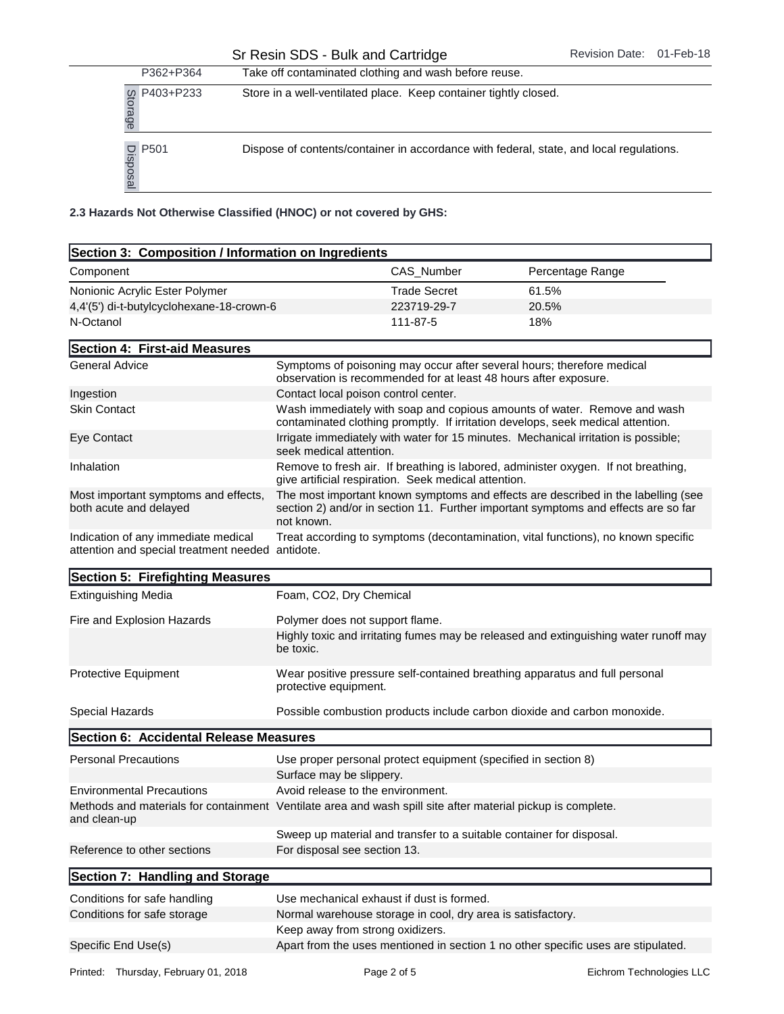|                                           | P362+P364       | Take off contaminated clothing and wash before reuse.              |            |                                                                                         |  |
|-------------------------------------------|-----------------|--------------------------------------------------------------------|------------|-----------------------------------------------------------------------------------------|--|
| Storage                                   | P403+P233       | Store in a well-ventilated place. Keep container tightly closed.   |            |                                                                                         |  |
| ഇ                                         | P501<br>Dispos. |                                                                    |            | Dispose of contents/container in accordance with federal, state, and local regulations. |  |
|                                           |                 | 2.3 Hazards Not Otherwise Classified (HNOC) or not covered by GHS: |            |                                                                                         |  |
|                                           |                 | Section 3: Composition / Information on Ingredients                |            |                                                                                         |  |
| Component                                 |                 |                                                                    | CAS Number | Percentage Range                                                                        |  |
| Nonionic Acrylic Ester Polymer            |                 | Trade Secret                                                       | 61.5%      |                                                                                         |  |
| 4,4'(5') di-t-butylcyclohexane-18-crown-6 |                 | 223719-29-7                                                        | 20.5%      |                                                                                         |  |
| N-Octanol                                 |                 |                                                                    | 111-87-5   | 18%                                                                                     |  |

| Section 3: Composition / Information on Ingredients                                                                         |                                                                                                                                                                                       |                     |                                                                                      |
|-----------------------------------------------------------------------------------------------------------------------------|---------------------------------------------------------------------------------------------------------------------------------------------------------------------------------------|---------------------|--------------------------------------------------------------------------------------|
| Component                                                                                                                   |                                                                                                                                                                                       | CAS_Number          | Percentage Range                                                                     |
| Nonionic Acrylic Ester Polymer                                                                                              |                                                                                                                                                                                       | <b>Trade Secret</b> | 61.5%                                                                                |
| 4,4'(5') di-t-butylcyclohexane-18-crown-6                                                                                   |                                                                                                                                                                                       | 223719-29-7         | 20.5%                                                                                |
| N-Octanol                                                                                                                   | 111-87-5                                                                                                                                                                              |                     | 18%                                                                                  |
| Section 4: First-aid Measures                                                                                               |                                                                                                                                                                                       |                     |                                                                                      |
| <b>General Advice</b>                                                                                                       | Symptoms of poisoning may occur after several hours; therefore medical<br>observation is recommended for at least 48 hours after exposure.                                            |                     |                                                                                      |
| Ingestion                                                                                                                   | Contact local poison control center.                                                                                                                                                  |                     |                                                                                      |
| <b>Skin Contact</b>                                                                                                         | Wash immediately with soap and copious amounts of water. Remove and wash<br>contaminated clothing promptly. If irritation develops, seek medical attention.                           |                     |                                                                                      |
| Eye Contact                                                                                                                 | Irrigate immediately with water for 15 minutes. Mechanical irritation is possible;<br>seek medical attention.                                                                         |                     |                                                                                      |
| Inhalation                                                                                                                  | Remove to fresh air. If breathing is labored, administer oxygen. If not breathing,<br>give artificial respiration. Seek medical attention.                                            |                     |                                                                                      |
| Most important symptoms and effects,<br>both acute and delayed                                                              | The most important known symptoms and effects are described in the labelling (see<br>section 2) and/or in section 11. Further important symptoms and effects are so far<br>not known. |                     |                                                                                      |
| Indication of any immediate medical<br>attention and special treatment needed antidote.                                     |                                                                                                                                                                                       |                     | Treat according to symptoms (decontamination, vital functions), no known specific    |
| Section 5: Firefighting Measures                                                                                            |                                                                                                                                                                                       |                     |                                                                                      |
| <b>Extinguishing Media</b>                                                                                                  | Foam, CO2, Dry Chemical                                                                                                                                                               |                     |                                                                                      |
| Fire and Explosion Hazards                                                                                                  | Polymer does not support flame.                                                                                                                                                       |                     |                                                                                      |
|                                                                                                                             | be toxic.                                                                                                                                                                             |                     | Highly toxic and irritating fumes may be released and extinguishing water runoff may |
| <b>Protective Equipment</b>                                                                                                 | protective equipment.                                                                                                                                                                 |                     | Wear positive pressure self-contained breathing apparatus and full personal          |
| Special Hazards                                                                                                             |                                                                                                                                                                                       |                     | Possible combustion products include carbon dioxide and carbon monoxide.             |
| Section 6: Accidental Release Measures                                                                                      |                                                                                                                                                                                       |                     |                                                                                      |
| <b>Personal Precautions</b>                                                                                                 | Use proper personal protect equipment (specified in section 8)<br>Surface may be slippery.                                                                                            |                     |                                                                                      |
| <b>Environmental Precautions</b>                                                                                            | Avoid release to the environment.                                                                                                                                                     |                     |                                                                                      |
| Methods and materials for containment Ventilate area and wash spill site after material pickup is complete.<br>and clean-up |                                                                                                                                                                                       |                     |                                                                                      |
|                                                                                                                             |                                                                                                                                                                                       |                     |                                                                                      |
|                                                                                                                             | Sweep up material and transfer to a suitable container for disposal.                                                                                                                  |                     |                                                                                      |

| Conditions for safe handling | Use mechanical exhaust if dust is formed.                                         |
|------------------------------|-----------------------------------------------------------------------------------|
| Conditions for safe storage  | Normal warehouse storage in cool, dry area is satisfactory.                       |
|                              | Keep away from strong oxidizers.                                                  |
| Specific End Use(s)          | Apart from the uses mentioned in section 1 no other specific uses are stipulated. |
|                              |                                                                                   |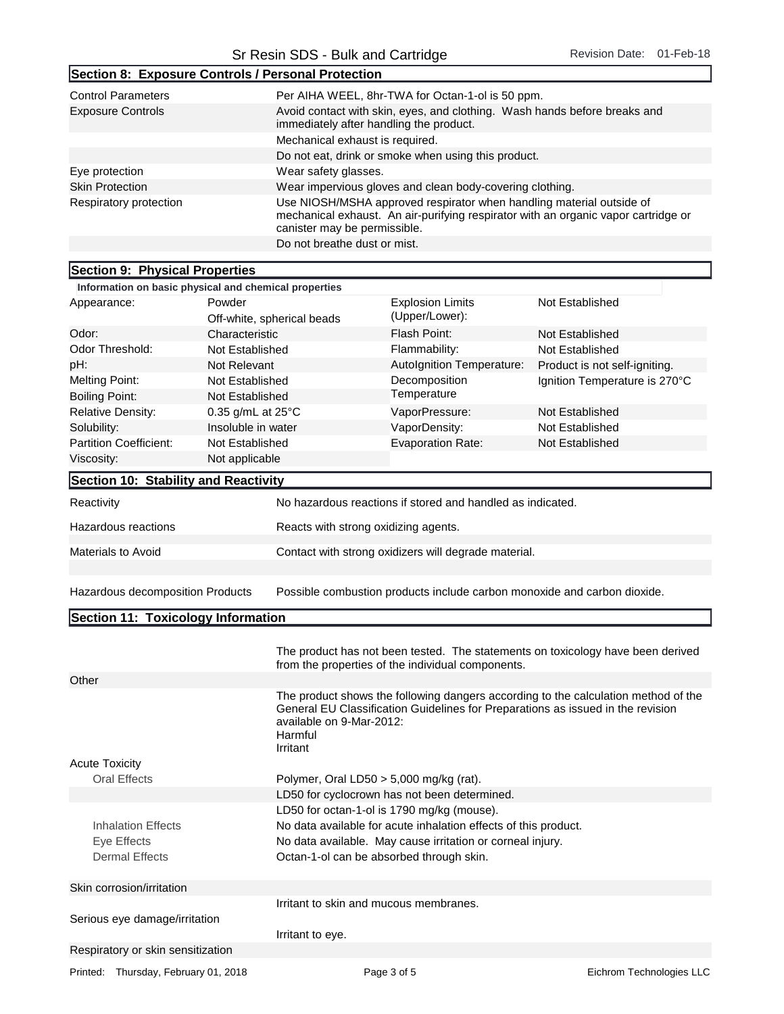|                                                                                                                                                                                                                                                                                              | Section 8: Exposure Controls / Personal Protection                                                                   |                                                                                                                                                                                            |                                                                                    |  |  |
|----------------------------------------------------------------------------------------------------------------------------------------------------------------------------------------------------------------------------------------------------------------------------------------------|----------------------------------------------------------------------------------------------------------------------|--------------------------------------------------------------------------------------------------------------------------------------------------------------------------------------------|------------------------------------------------------------------------------------|--|--|
| <b>Control Parameters</b>                                                                                                                                                                                                                                                                    | Per AIHA WEEL, 8hr-TWA for Octan-1-ol is 50 ppm.                                                                     |                                                                                                                                                                                            |                                                                                    |  |  |
| <b>Exposure Controls</b>                                                                                                                                                                                                                                                                     | Avoid contact with skin, eyes, and clothing. Wash hands before breaks and<br>immediately after handling the product. |                                                                                                                                                                                            |                                                                                    |  |  |
|                                                                                                                                                                                                                                                                                              | Mechanical exhaust is required.                                                                                      |                                                                                                                                                                                            |                                                                                    |  |  |
|                                                                                                                                                                                                                                                                                              | Do not eat, drink or smoke when using this product.                                                                  |                                                                                                                                                                                            |                                                                                    |  |  |
| Eye protection                                                                                                                                                                                                                                                                               | Wear safety glasses.                                                                                                 |                                                                                                                                                                                            |                                                                                    |  |  |
| <b>Skin Protection</b>                                                                                                                                                                                                                                                                       |                                                                                                                      | Wear impervious gloves and clean body-covering clothing.                                                                                                                                   |                                                                                    |  |  |
| Respiratory protection                                                                                                                                                                                                                                                                       |                                                                                                                      | Use NIOSH/MSHA approved respirator when handling material outside of<br>mechanical exhaust. An air-purifying respirator with an organic vapor cartridge or<br>canister may be permissible. |                                                                                    |  |  |
|                                                                                                                                                                                                                                                                                              | Do not breathe dust or mist.                                                                                         |                                                                                                                                                                                            |                                                                                    |  |  |
|                                                                                                                                                                                                                                                                                              |                                                                                                                      |                                                                                                                                                                                            |                                                                                    |  |  |
| Section 9: Physical Properties                                                                                                                                                                                                                                                               |                                                                                                                      |                                                                                                                                                                                            |                                                                                    |  |  |
|                                                                                                                                                                                                                                                                                              | Information on basic physical and chemical properties<br>Powder                                                      |                                                                                                                                                                                            |                                                                                    |  |  |
| Appearance:                                                                                                                                                                                                                                                                                  | Off-white, spherical beads                                                                                           | <b>Explosion Limits</b><br>(Upper/Lower):                                                                                                                                                  | Not Established                                                                    |  |  |
| Odor:                                                                                                                                                                                                                                                                                        | Characteristic                                                                                                       | Flash Point:                                                                                                                                                                               | Not Established                                                                    |  |  |
| Odor Threshold:                                                                                                                                                                                                                                                                              | Not Established                                                                                                      | Flammability:                                                                                                                                                                              | Not Established                                                                    |  |  |
| pH:                                                                                                                                                                                                                                                                                          | <b>Not Relevant</b>                                                                                                  | Autolgnition Temperature:                                                                                                                                                                  | Product is not self-igniting.                                                      |  |  |
| <b>Melting Point:</b>                                                                                                                                                                                                                                                                        | Not Established                                                                                                      | Decomposition                                                                                                                                                                              | Ignition Temperature is 270°C                                                      |  |  |
| <b>Boiling Point:</b>                                                                                                                                                                                                                                                                        | Not Established                                                                                                      | Temperature                                                                                                                                                                                |                                                                                    |  |  |
| <b>Relative Density:</b>                                                                                                                                                                                                                                                                     | 0.35 g/mL at 25°C                                                                                                    | VaporPressure:                                                                                                                                                                             | Not Established                                                                    |  |  |
| Solubility:                                                                                                                                                                                                                                                                                  | Insoluble in water                                                                                                   | VaporDensity:                                                                                                                                                                              | Not Established                                                                    |  |  |
| <b>Partition Coefficient:</b>                                                                                                                                                                                                                                                                | Not Established                                                                                                      | <b>Evaporation Rate:</b>                                                                                                                                                                   | Not Established                                                                    |  |  |
| Viscosity:                                                                                                                                                                                                                                                                                   | Not applicable                                                                                                       |                                                                                                                                                                                            |                                                                                    |  |  |
|                                                                                                                                                                                                                                                                                              |                                                                                                                      |                                                                                                                                                                                            |                                                                                    |  |  |
| Section 10: Stability and Reactivity                                                                                                                                                                                                                                                         |                                                                                                                      |                                                                                                                                                                                            |                                                                                    |  |  |
| Reactivity                                                                                                                                                                                                                                                                                   |                                                                                                                      | No hazardous reactions if stored and handled as indicated.                                                                                                                                 |                                                                                    |  |  |
| Hazardous reactions                                                                                                                                                                                                                                                                          | Reacts with strong oxidizing agents.                                                                                 |                                                                                                                                                                                            |                                                                                    |  |  |
| Materials to Avoid                                                                                                                                                                                                                                                                           |                                                                                                                      | Contact with strong oxidizers will degrade material.                                                                                                                                       |                                                                                    |  |  |
| Hazardous decomposition Products                                                                                                                                                                                                                                                             |                                                                                                                      | Possible combustion products include carbon monoxide and carbon dioxide.                                                                                                                   |                                                                                    |  |  |
| Section 11: Toxicology Information                                                                                                                                                                                                                                                           |                                                                                                                      |                                                                                                                                                                                            |                                                                                    |  |  |
|                                                                                                                                                                                                                                                                                              |                                                                                                                      |                                                                                                                                                                                            |                                                                                    |  |  |
|                                                                                                                                                                                                                                                                                              |                                                                                                                      | from the properties of the individual components.                                                                                                                                          | The product has not been tested. The statements on toxicology have been derived    |  |  |
| Other                                                                                                                                                                                                                                                                                        |                                                                                                                      |                                                                                                                                                                                            |                                                                                    |  |  |
|                                                                                                                                                                                                                                                                                              | available on 9-Mar-2012:<br>Harmful<br>Irritant                                                                      | General EU Classification Guidelines for Preparations as issued in the revision                                                                                                            | The product shows the following dangers according to the calculation method of the |  |  |
| <b>Acute Toxicity</b>                                                                                                                                                                                                                                                                        |                                                                                                                      |                                                                                                                                                                                            |                                                                                    |  |  |
| <b>Oral Effects</b>                                                                                                                                                                                                                                                                          |                                                                                                                      | Polymer, Oral LD50 $>$ 5,000 mg/kg (rat).<br>LD50 for cyclocrown has not been determined.                                                                                                  |                                                                                    |  |  |
|                                                                                                                                                                                                                                                                                              |                                                                                                                      |                                                                                                                                                                                            |                                                                                    |  |  |
| LD50 for octan-1-ol is 1790 mg/kg (mouse).<br><b>Inhalation Effects</b><br>No data available for acute inhalation effects of this product.<br>No data available. May cause irritation or corneal injury.<br>Eye Effects<br><b>Dermal Effects</b><br>Octan-1-ol can be absorbed through skin. |                                                                                                                      |                                                                                                                                                                                            |                                                                                    |  |  |
|                                                                                                                                                                                                                                                                                              |                                                                                                                      |                                                                                                                                                                                            |                                                                                    |  |  |
| Skin corrosion/irritation                                                                                                                                                                                                                                                                    |                                                                                                                      | Irritant to skin and mucous membranes.                                                                                                                                                     |                                                                                    |  |  |
|                                                                                                                                                                                                                                                                                              |                                                                                                                      |                                                                                                                                                                                            |                                                                                    |  |  |

Serious eye damage/irritation

Irritant to eye. Respiratory or skin sensitization

Printed: Thursday, February 01, 2018 **Page 3 of 5** Page 3 of 5 Eichrom Technologies LLC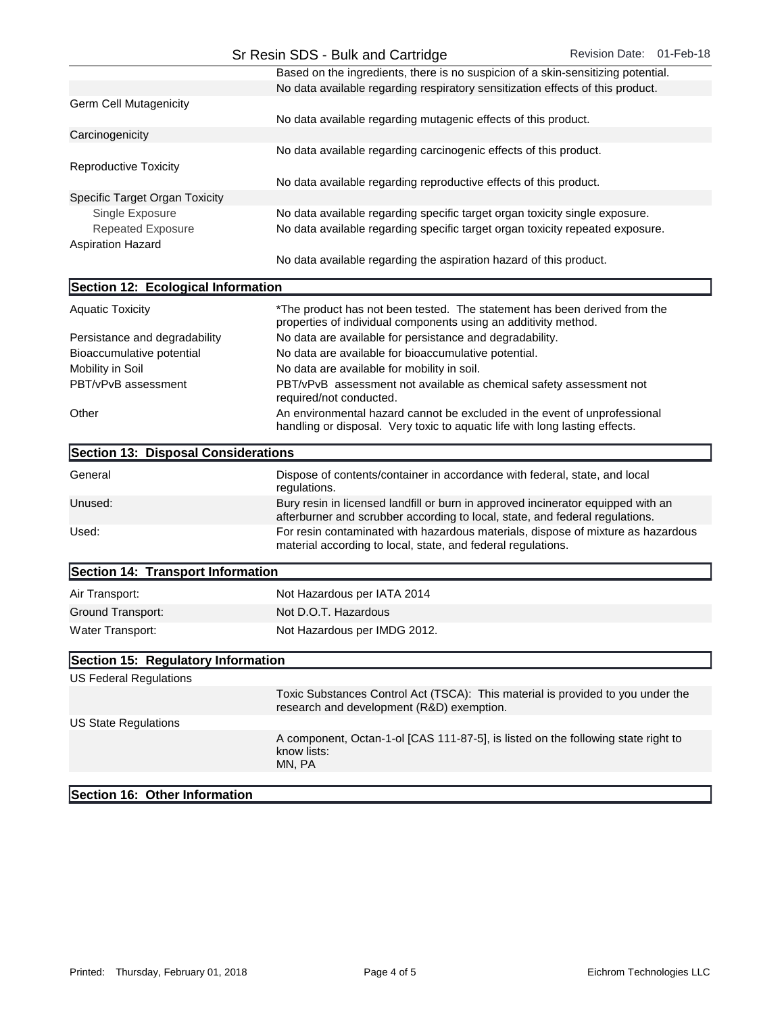|                                | Based on the ingredients, there is no suspicion of a skin-sensitizing potential. |
|--------------------------------|----------------------------------------------------------------------------------|
|                                | No data available regarding respiratory sensitization effects of this product.   |
| <b>Germ Cell Mutagenicity</b>  |                                                                                  |
|                                | No data available regarding mutagenic effects of this product.                   |
| Carcinogenicity                |                                                                                  |
|                                | No data available regarding carcinogenic effects of this product.                |
| Reproductive Toxicity          |                                                                                  |
|                                | No data available regarding reproductive effects of this product.                |
| Specific Target Organ Toxicity |                                                                                  |
| Single Exposure                | No data available regarding specific target organ toxicity single exposure.      |
| <b>Repeated Exposure</b>       | No data available regarding specific target organ toxicity repeated exposure.    |
| <b>Aspiration Hazard</b>       |                                                                                  |
|                                | No data available regarding the aspiration hazard of this product.               |

| Section 12: Ecological Information  |                                                                                                                                                                  |
|-------------------------------------|------------------------------------------------------------------------------------------------------------------------------------------------------------------|
| <b>Aquatic Toxicity</b>             | *The product has not been tested. The statement has been derived from the<br>properties of individual components using an additivity method.                     |
| Persistance and degradability       | No data are available for persistance and degradability.                                                                                                         |
| Bioaccumulative potential           | No data are available for bioaccumulative potential.                                                                                                             |
| Mobility in Soil                    | No data are available for mobility in soil.                                                                                                                      |
| PBT/vPvB assessment                 | PBT/vPvB assessment not available as chemical safety assessment not<br>required/not conducted.                                                                   |
| Other                               | An environmental hazard cannot be excluded in the event of unprofessional<br>handling or disposal. Very toxic to aquatic life with long lasting effects.         |
| Section 13: Disposal Considerations |                                                                                                                                                                  |
| General                             | Dispose of contents/container in accordance with federal, state, and local<br>regulations.                                                                       |
| Unused:                             | Bury resin in licensed landfill or burn in approved incinerator equipped with an<br>afterburner and scrubber according to local, state, and federal regulations. |
| Used:                               | For resin contaminated with hazardous materials, dispose of mixture as hazardous<br>material according to local, state, and federal regulations.                 |
| Section 14: Transport Information   |                                                                                                                                                                  |
| Air Transport:                      | Not Hazardous per IATA 2014                                                                                                                                      |
| Ground Transport:                   | Not D.O.T. Hazardous                                                                                                                                             |
| Water Transport:                    | Not Hazardous per IMDG 2012.                                                                                                                                     |
| Section 15: Regulatory Information  |                                                                                                                                                                  |
| US Federal Regulations              |                                                                                                                                                                  |
|                                     | Toxic Substances Control Act (TSCA): This material is provided to you under the                                                                                  |

|                      | Toxic Substances Control Act (TSCA): This material is provided to you under th<br>research and development (R&D) exemption. |
|----------------------|-----------------------------------------------------------------------------------------------------------------------------|
| US State Regulations |                                                                                                                             |
|                      | A component, Octan-1-ol [CAS 111-87-5], is listed on the following state right to<br>know lists:<br>MN. PA                  |
|                      |                                                                                                                             |

## Section 16: Other Information